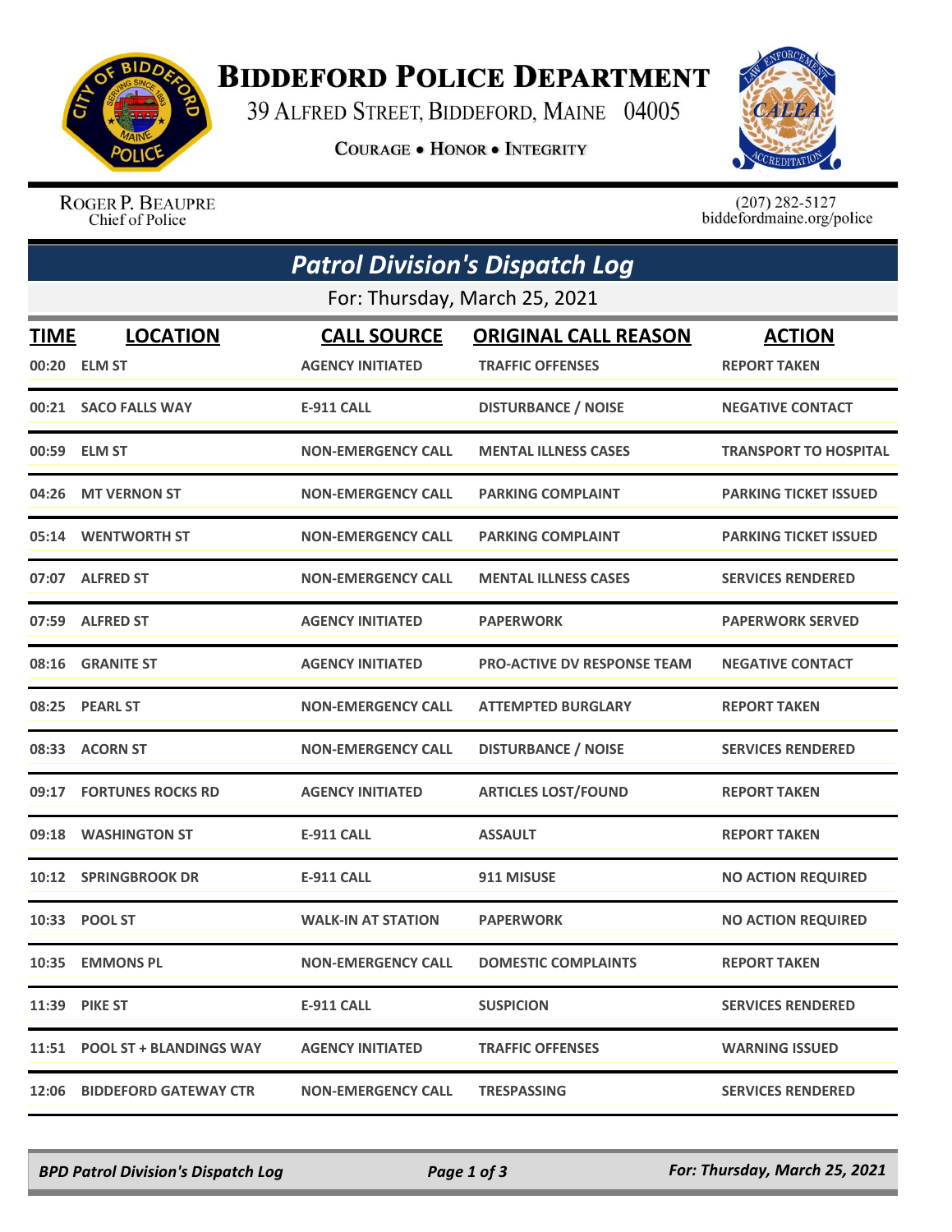

## **BIDDEFORD POLICE DEPARTMENT**

39 ALFRED STREET, BIDDEFORD, MAINE 04005

**COURAGE . HONOR . INTEGRITY** 



ROGER P. BEAUPRE Chief of Police

 $(207)$  282-5127<br>biddefordmaine.org/police

|                               | <b>Patrol Division's Dispatch Log</b> |                           |                                    |                              |  |  |  |
|-------------------------------|---------------------------------------|---------------------------|------------------------------------|------------------------------|--|--|--|
| For: Thursday, March 25, 2021 |                                       |                           |                                    |                              |  |  |  |
| TIME                          | <b>LOCATION</b>                       | <b>CALL SOURCE</b>        | <b>ORIGINAL CALL REASON</b>        | <b>ACTION</b>                |  |  |  |
|                               | 00:20 ELM ST                          | <b>AGENCY INITIATED</b>   | <b>TRAFFIC OFFENSES</b>            | <b>REPORT TAKEN</b>          |  |  |  |
|                               | 00:21 SACO FALLS WAY                  | <b>E-911 CALL</b>         | <b>DISTURBANCE / NOISE</b>         | <b>NEGATIVE CONTACT</b>      |  |  |  |
| 00:59                         | <b>ELM ST</b>                         | <b>NON-EMERGENCY CALL</b> | <b>MENTAL ILLNESS CASES</b>        | <b>TRANSPORT TO HOSPITAL</b> |  |  |  |
|                               | 04:26 MT VERNON ST                    | <b>NON-EMERGENCY CALL</b> | <b>PARKING COMPLAINT</b>           | <b>PARKING TICKET ISSUED</b> |  |  |  |
|                               | 05:14 WENTWORTH ST                    | <b>NON-EMERGENCY CALL</b> | <b>PARKING COMPLAINT</b>           | <b>PARKING TICKET ISSUED</b> |  |  |  |
|                               | 07:07 ALFRED ST                       | <b>NON-EMERGENCY CALL</b> | <b>MENTAL ILLNESS CASES</b>        | <b>SERVICES RENDERED</b>     |  |  |  |
|                               | 07:59 ALFRED ST                       | <b>AGENCY INITIATED</b>   | <b>PAPERWORK</b>                   | <b>PAPERWORK SERVED</b>      |  |  |  |
| 08:16                         | <b>GRANITE ST</b>                     | <b>AGENCY INITIATED</b>   | <b>PRO-ACTIVE DV RESPONSE TEAM</b> | <b>NEGATIVE CONTACT</b>      |  |  |  |
|                               | 08:25 PEARL ST                        | <b>NON-EMERGENCY CALL</b> | <b>ATTEMPTED BURGLARY</b>          | <b>REPORT TAKEN</b>          |  |  |  |
|                               | 08:33 ACORN ST                        | <b>NON-EMERGENCY CALL</b> | <b>DISTURBANCE / NOISE</b>         | <b>SERVICES RENDERED</b>     |  |  |  |
| 09:17                         | <b>FORTUNES ROCKS RD</b>              | <b>AGENCY INITIATED</b>   | <b>ARTICLES LOST/FOUND</b>         | <b>REPORT TAKEN</b>          |  |  |  |
| 09:18                         | <b>WASHINGTON ST</b>                  | <b>E-911 CALL</b>         | <b>ASSAULT</b>                     | <b>REPORT TAKEN</b>          |  |  |  |
|                               | 10:12 SPRINGBROOK DR                  | <b>E-911 CALL</b>         | 911 MISUSE                         | <b>NO ACTION REQUIRED</b>    |  |  |  |
|                               | 10:33 POOL ST                         | <b>WALK-IN AT STATION</b> | <b>PAPERWORK</b>                   | <b>NO ACTION REQUIRED</b>    |  |  |  |
|                               | 10:35 EMMONS PL                       | <b>NON-EMERGENCY CALL</b> | <b>DOMESTIC COMPLAINTS</b>         | <b>REPORT TAKEN</b>          |  |  |  |
|                               | <b>11:39 PIKE ST</b>                  | <b>E-911 CALL</b>         | <b>SUSPICION</b>                   | <b>SERVICES RENDERED</b>     |  |  |  |
|                               | 11:51 POOL ST + BLANDINGS WAY         | <b>AGENCY INITIATED</b>   | <b>TRAFFIC OFFENSES</b>            | <b>WARNING ISSUED</b>        |  |  |  |
| 12:06                         | <b>BIDDEFORD GATEWAY CTR</b>          | <b>NON-EMERGENCY CALL</b> | <b>TRESPASSING</b>                 | <b>SERVICES RENDERED</b>     |  |  |  |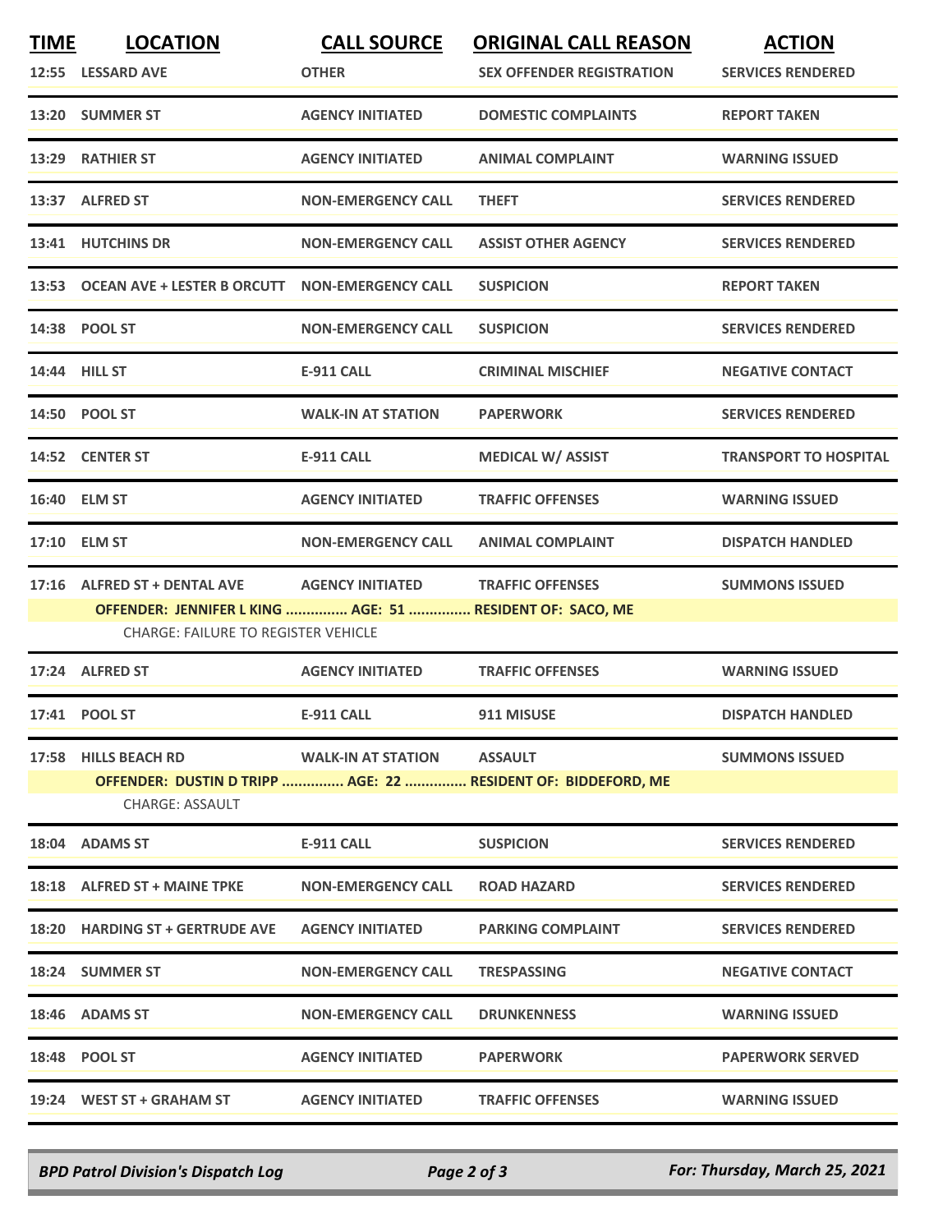| <b>TIME</b> | <b>LOCATION</b><br>12:55 LESSARD AVE                                                                                                    | <b>CALL SOURCE</b><br><b>OTHER</b> | <b>ORIGINAL CALL REASON</b><br><b>SEX OFFENDER REGISTRATION</b>                 | <b>ACTION</b><br><b>SERVICES RENDERED</b> |
|-------------|-----------------------------------------------------------------------------------------------------------------------------------------|------------------------------------|---------------------------------------------------------------------------------|-------------------------------------------|
|             | 13:20 SUMMER ST                                                                                                                         | <b>AGENCY INITIATED</b>            | <b>DOMESTIC COMPLAINTS</b>                                                      | <b>REPORT TAKEN</b>                       |
|             | 13:29 RATHIER ST                                                                                                                        | <b>AGENCY INITIATED</b>            | <b>ANIMAL COMPLAINT</b>                                                         | <b>WARNING ISSUED</b>                     |
|             | 13:37 ALFRED ST                                                                                                                         | <b>NON-EMERGENCY CALL</b>          | <b>THEFT</b>                                                                    | <b>SERVICES RENDERED</b>                  |
|             | 13:41 HUTCHINS DR                                                                                                                       | <b>NON-EMERGENCY CALL</b>          | <b>ASSIST OTHER AGENCY</b>                                                      | <b>SERVICES RENDERED</b>                  |
|             | 13:53 OCEAN AVE + LESTER B ORCUTT                                                                                                       | <b>NON-EMERGENCY CALL</b>          | <b>SUSPICION</b>                                                                | <b>REPORT TAKEN</b>                       |
|             | 14:38 POOL ST                                                                                                                           | <b>NON-EMERGENCY CALL</b>          | <b>SUSPICION</b>                                                                | <b>SERVICES RENDERED</b>                  |
|             | 14:44 HILL ST                                                                                                                           | <b>E-911 CALL</b>                  | <b>CRIMINAL MISCHIEF</b>                                                        | <b>NEGATIVE CONTACT</b>                   |
|             | 14:50 POOL ST                                                                                                                           | <b>WALK-IN AT STATION</b>          | <b>PAPERWORK</b>                                                                | <b>SERVICES RENDERED</b>                  |
|             | 14:52 CENTER ST                                                                                                                         | <b>E-911 CALL</b>                  | <b>MEDICAL W/ ASSIST</b>                                                        | <b>TRANSPORT TO HOSPITAL</b>              |
|             | 16:40 ELM ST                                                                                                                            | <b>AGENCY INITIATED</b>            | <b>TRAFFIC OFFENSES</b>                                                         | <b>WARNING ISSUED</b>                     |
|             | 17:10 ELM ST                                                                                                                            | <b>NON-EMERGENCY CALL</b>          | <b>ANIMAL COMPLAINT</b>                                                         | <b>DISPATCH HANDLED</b>                   |
|             | 17:16 ALFRED ST + DENTAL AVE<br>OFFENDER: JENNIFER L KING  AGE: 51  RESIDENT OF: SACO, ME<br><b>CHARGE: FAILURE TO REGISTER VEHICLE</b> | <b>AGENCY INITIATED</b>            | <b>TRAFFIC OFFENSES</b>                                                         | <b>SUMMONS ISSUED</b>                     |
|             | 17:24 ALFRED ST                                                                                                                         | <b>AGENCY INITIATED</b>            | <b>TRAFFIC OFFENSES</b>                                                         | <b>WARNING ISSUED</b>                     |
|             | 17:41 POOL ST                                                                                                                           | <b>E-911 CALL</b>                  | 911 MISUSE                                                                      | <b>DISPATCH HANDLED</b>                   |
|             | 17:58 HILLS BEACH RD<br><b>CHARGE: ASSAULT</b>                                                                                          | <b>WALK-IN AT STATION</b>          | <b>ASSAULT</b><br>OFFENDER: DUSTIN D TRIPP  AGE: 22  RESIDENT OF: BIDDEFORD, ME | <b>SUMMONS ISSUED</b>                     |
|             | 18:04 ADAMS ST                                                                                                                          | <b>E-911 CALL</b>                  | <b>SUSPICION</b>                                                                | <b>SERVICES RENDERED</b>                  |
|             | 18:18 ALFRED ST + MAINE TPKE                                                                                                            | <b>NON-EMERGENCY CALL</b>          | <b>ROAD HAZARD</b>                                                              | <b>SERVICES RENDERED</b>                  |
|             | 18:20 HARDING ST + GERTRUDE AVE                                                                                                         | <b>AGENCY INITIATED</b>            | <b>PARKING COMPLAINT</b>                                                        | <b>SERVICES RENDERED</b>                  |
|             | 18:24 SUMMER ST                                                                                                                         | <b>NON-EMERGENCY CALL</b>          | <b>TRESPASSING</b>                                                              | <b>NEGATIVE CONTACT</b>                   |
|             | 18:46 ADAMS ST                                                                                                                          | <b>NON-EMERGENCY CALL</b>          | <b>DRUNKENNESS</b>                                                              | <b>WARNING ISSUED</b>                     |
|             | 18:48 POOL ST                                                                                                                           | <b>AGENCY INITIATED</b>            | <b>PAPERWORK</b>                                                                | <b>PAPERWORK SERVED</b>                   |
|             | 19:24 WEST ST + GRAHAM ST                                                                                                               | <b>AGENCY INITIATED</b>            | <b>TRAFFIC OFFENSES</b>                                                         | <b>WARNING ISSUED</b>                     |

*BPD Patrol Division's Dispatch Log Page 2 of 3 For: Thursday, March 25, 2021*